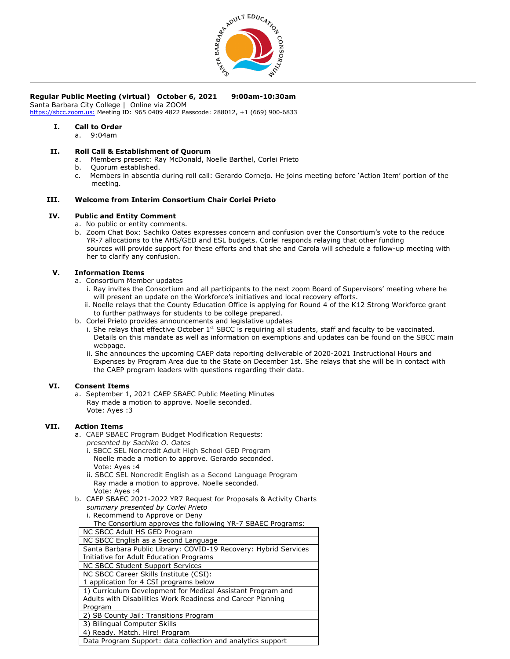

## **Regular Public Meeting (virtual) October 6, 2021 9:00am-10:30am**

Santa Barbara City College | Online via ZOOM

[https://sbcc.zoom.us:](https://sbcc.zoom.us/) Meeting ID: 965 0409 4822 Passcode: 288012, +1 (669) 900-6833

# **I. Call to Order**

a. 9:04am

### **II. Roll Call & Establishment of Quorum**

- a. Members present: Ray McDonald, Noelle Barthel, Corlei Prieto
- b. Quorum established.
- c. Members in absentia during roll call: Gerardo Cornejo. He joins meeting before 'Action Item' portion of the meeting.

## **III. Welcome from Interim Consortium Chair Corlei Prieto**

## **IV. Public and Entity Comment**

- a. No public or entity comments.
- b. Zoom Chat Box: Sachiko Oates expresses concern and confusion over the Consortium's vote to the reduce YR-7 allocations to the AHS/GED and ESL budgets. Corlei responds relaying that other funding sources will provide support for these efforts and that she and Carola will schedule a follow-up meeting with her to clarify any confusion.

## **V. Information Items**

- a. Consortium Member updates
	- i. Ray invites the Consortium and all participants to the next zoom Board of Supervisors' meeting where he will present an update on the Workforce's initiatives and local recovery efforts.
	- ii. Noelle relays that the County Education Office is applying for Round 4 of the K12 Strong Workforce grant to further pathways for students to be college prepared.
- b. Corlei Prieto provides announcements and legislative updates
	- i. She relays that effective October 1st SBCC is requiring all students, staff and faculty to be vaccinated. Details on this mandate as well as information on exemptions and updates can be found on the SBCC main webpage.
	- ii. She announces the upcoming CAEP data reporting deliverable of 2020-2021 Instructional Hours and Expenses by Program Area due to the State on December 1st. She relays that she will be in contact with the CAEP program leaders with questions regarding their data.

#### **VI. Consent Items**

a. September 1, 2021 CAEP SBAEC Public Meeting Minutes Ray made a motion to approve. Noelle seconded. Vote: Ayes :3

## **VII. Action Items**

- a. CAEP SBAEC Program Budget Modification Requests:
	- *presented by Sachiko O. Oates*
	- i. SBCC SEL Noncredit Adult High School GED Program Noelle made a motion to approve. Gerardo seconded. Vote: Ayes :4
	- ii. SBCC SEL Noncredit English as a Second Language Program Ray made a motion to approve. Noelle seconded. Vote: Ayes :4
- b. CAEP SBAEC 2021-2022 YR7 Request for Proposals & Activity Charts *summary presented by Corlei Prieto*
	- i. Recommend to Approve or Deny

| NC SBCC Adult HS GED Program                                     |
|------------------------------------------------------------------|
| NC SBCC English as a Second Language                             |
| Santa Barbara Public Library: COVID-19 Recovery: Hybrid Services |
| Initiative for Adult Education Programs                          |
| NC SBCC Student Support Services                                 |
| NC SBCC Career Skills Institute (CSI):                           |
| 1 application for 4 CSI programs below                           |
| 1) Curriculum Development for Medical Assistant Program and      |
| Adults with Disabilities Work Readiness and Career Planning      |
| Program                                                          |
| 2) SB County Jail: Transitions Program                           |
| 3) Bilingual Computer Skills                                     |
| 4) Ready. Match. Hire! Program                                   |
| Data Program Support: data collection and analytics support      |